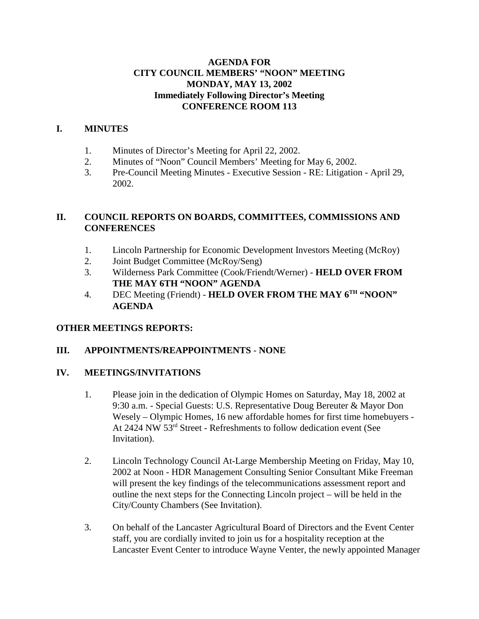## **AGENDA FOR CITY COUNCIL MEMBERS' "NOON" MEETING MONDAY, MAY 13, 2002 Immediately Following Director's Meeting CONFERENCE ROOM 113**

## **I. MINUTES**

- 1. Minutes of Director's Meeting for April 22, 2002.
- 2. Minutes of "Noon" Council Members' Meeting for May 6, 2002.
- 3. Pre-Council Meeting Minutes Executive Session RE: Litigation April 29, 2002.

## **II. COUNCIL REPORTS ON BOARDS, COMMITTEES, COMMISSIONS AND CONFERENCES**

- 1. Lincoln Partnership for Economic Development Investors Meeting (McRoy)
- 2. Joint Budget Committee (McRoy/Seng)
- 3. Wilderness Park Committee (Cook/Friendt/Werner) **HELD OVER FROM THE MAY 6TH "NOON" AGENDA**
- 4. DEC Meeting (Friendt) **HELD OVER FROM THE MAY 6<sup>TH</sup> "NOON" AGENDA**

## **OTHER MEETINGS REPORTS:**

# **III. APPOINTMENTS/REAPPOINTMENTS** - **NONE**

## **IV. MEETINGS/INVITATIONS**

- 1. Please join in the dedication of Olympic Homes on Saturday, May 18, 2002 at 9:30 a.m. - Special Guests: U.S. Representative Doug Bereuter & Mayor Don Wesely – Olympic Homes, 16 new affordable homes for first time homebuyers - At 2424 NW 53rd Street - Refreshments to follow dedication event (See Invitation).
- 2. Lincoln Technology Council At-Large Membership Meeting on Friday, May 10, 2002 at Noon - HDR Management Consulting Senior Consultant Mike Freeman will present the key findings of the telecommunications assessment report and outline the next steps for the Connecting Lincoln project – will be held in the City/County Chambers (See Invitation).
- 3. On behalf of the Lancaster Agricultural Board of Directors and the Event Center staff, you are cordially invited to join us for a hospitality reception at the Lancaster Event Center to introduce Wayne Venter, the newly appointed Manager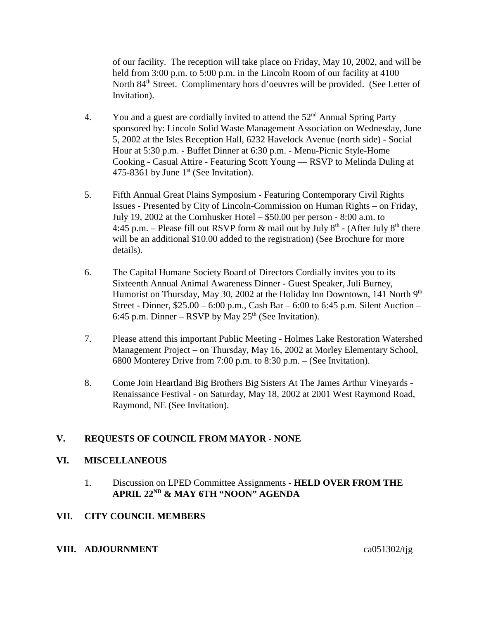of our facility. The reception will take place on Friday, May 10, 2002, and will be held from 3:00 p.m. to 5:00 p.m. in the Lincoln Room of our facility at 4100 North 84<sup>th</sup> Street. Complimentary hors d'oeuvres will be provided. (See Letter of Invitation).

- 4. You and a guest are cordially invited to attend the  $52<sup>nd</sup>$  Annual Spring Party sponsored by: Lincoln Solid Waste Management Association on Wednesday, June 5, 2002 at the Isles Reception Hall, 6232 Havelock Avenue (north side) - Social Hour at 5:30 p.m. - Buffet Dinner at 6:30 p.m. - Menu-Picnic Style-Home Cooking - Casual Attire - Featuring Scott Young — RSVP to Melinda Duling at 475-8361 by June  $1<sup>st</sup>$  (See Invitation).
- 5. Fifth Annual Great Plains Symposium Featuring Contemporary Civil Rights Issues - Presented by City of Lincoln-Commission on Human Rights – on Friday, July 19, 2002 at the Cornhusker Hotel – \$50.00 per person - 8:00 a.m. to 4:45 p.m. – Please fill out RSVP form  $\&$  mail out by July  $8<sup>th</sup>$  - (After July  $8<sup>th</sup>$  there will be an additional \$10.00 added to the registration) (See Brochure for more details).
- 6. The Capital Humane Society Board of Directors Cordially invites you to its Sixteenth Annual Animal Awareness Dinner - Guest Speaker, Juli Burney, Humorist on Thursday, May 30, 2002 at the Holiday Inn Downtown, 141 North 9<sup>th</sup> Street - Dinner, \$25.00 – 6:00 p.m., Cash Bar – 6:00 to 6:45 p.m. Silent Auction – 6:45 p.m. Dinner – RSVP by May  $25<sup>th</sup>$  (See Invitation).
- 7. Please attend this important Public Meeting Holmes Lake Restoration Watershed Management Project – on Thursday, May 16, 2002 at Morley Elementary School, 6800 Monterey Drive from 7:00 p.m. to 8:30 p.m. – (See Invitation).
- 8. Come Join Heartland Big Brothers Big Sisters At The James Arthur Vineyards Renaissance Festival - on Saturday, May 18, 2002 at 2001 West Raymond Road, Raymond, NE (See Invitation).

# **V. REQUESTS OF COUNCIL FROM MAYOR - NONE**

### **VI. MISCELLANEOUS**

1. Discussion on LPED Committee Assignments - **HELD OVER FROM THE APRIL 22ND & MAY 6TH "NOON" AGENDA** 

## **VII. CITY COUNCIL MEMBERS**

### **VIII. ADJOURNMENT** ca051302/tjg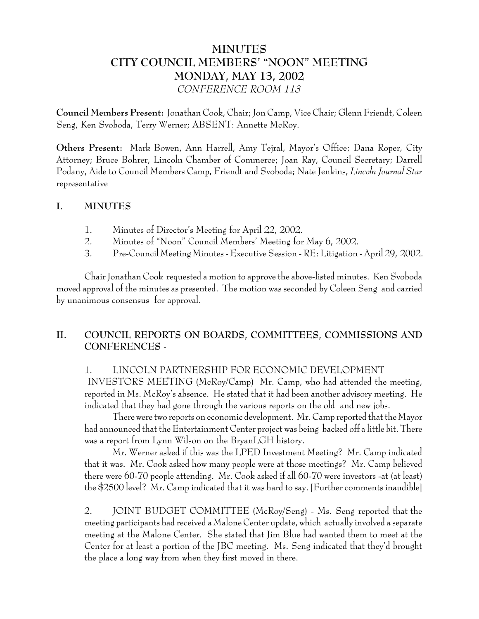# **MINUTES CITY COUNCIL MEMBERS' "NOON" MEETING MONDAY, MAY 13, 2002** *CONFERENCE ROOM 113*

**Council Members Present:** Jonathan Cook, Chair; Jon Camp, Vice Chair; Glenn Friendt, Coleen Seng, Ken Svoboda, Terry Werner; ABSENT: Annette McRoy.

**Others Present:** Mark Bowen, Ann Harrell, Amy Tejral, Mayor's Office; Dana Roper, City Attorney; Bruce Bohrer, Lincoln Chamber of Commerce; Joan Ray, Council Secretary; Darrell Podany, Aide to Council Members Camp, Friendt and Svoboda; Nate Jenkins, *Lincoln Journal Star* representative

## **I. MINUTES**

- 1. Minutes of Director's Meeting for April 22, 2002.
- 2. Minutes of "Noon" Council Members' Meeting for May 6, 2002.
- 3. Pre-Council Meeting Minutes Executive Session RE: Litigation April 29, 2002.

Chair Jonathan Cook requested a motion to approve the above-listed minutes. Ken Svoboda moved approval of the minutes as presented. The motion was seconded by Coleen Seng and carried by unanimous consensus for approval.

# **II. COUNCIL REPORTS ON BOARDS, COMMITTEES, COMMISSIONS AND CONFERENCES -**

## 1. LINCOLN PARTNERSHIP FOR ECONOMIC DEVELOPMENT

 INVESTORS MEETING (McRoy/Camp) Mr. Camp, who had attended the meeting, reported in Ms. McRoy's absence. He stated that it had been another advisory meeting. He indicated that they had gone through the various reports on the old and new jobs.

There were two reports on economic development. Mr. Camp reported that the Mayor had announced that the Entertainment Center project was being backed off a little bit. There was a report from Lynn Wilson on the BryanLGH history.

Mr. Werner asked if this was the LPED Investment Meeting? Mr. Camp indicated that it was. Mr. Cook asked how many people were at those meetings? Mr. Camp believed there were 60-70 people attending. Mr. Cook asked if all 60-70 were investors -at (at least) the \$2500 level? Mr. Camp indicated that it was hard to say. [Further comments inaudible]

2. JOINT BUDGET COMMITTEE (McRoy/Seng) - Ms. Seng reported that the meeting participants had received a Malone Center update, which actually involved a separate meeting at the Malone Center. She stated that Jim Blue had wanted them to meet at the Center for at least a portion of the JBC meeting. Ms. Seng indicated that they'd brought the place a long way from when they first moved in there.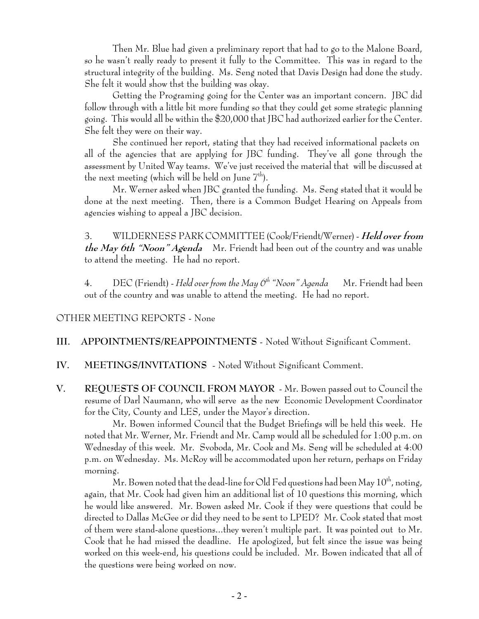Then Mr. Blue had given a preliminary report that had to go to the Malone Board, so he wasn't really ready to present it fully to the Committee. This was in regard to the structural integrity of the building. Ms. Seng noted that Davis Design had done the study. She felt it would show thst the building was okay.

Getting the Programing going for the Center was an important concern. JBC did follow through with a little bit more funding so that they could get some strategic planning going. This would all be within the \$20,000 that JBC had authorized earlier for the Center. She felt they were on their way.

She continued her report, stating that they had received informational packets on all of the agencies that are applying for JBC funding. They've all gone through the assessment by United Way teams. We've just received the material that will be discussed at the next meeting (which will be held on June  $7<sup>th</sup>$ ).

Mr. Werner asked when JBC granted the funding. Ms. Seng stated that it would be done at the next meeting. Then, there is a Common Budget Hearing on Appeals from agencies wishing to appeal a JBC decision.

3. WILDERNESS PARK COMMITTEE (Cook/Friendt/Werner) - **Held over from the May 6th "Noon" Agenda** Mr. Friendt had been out of the country and was unable to attend the meeting. He had no report.

4. DEC (Friendt) - *Held over from the May 6th "Noon" Agenda* Mr. Friendt had been out of the country and was unable to attend the meeting. He had no report.

# OTHER MEETING REPORTS - None

## **III. APPOINTMENTS/REAPPOINTMENTS** - Noted Without Significant Comment.

# **IV. MEETINGS/INVITATIONS** - Noted Without Significant Comment.

**V. REQUESTS OF COUNCIL FROM MAYOR** - Mr. Bowen passed out to Council the resume of Darl Naumann, who will serve as the new Economic Development Coordinator for the City, County and LES, under the Mayor's direction.

Mr. Bowen informed Council that the Budget Briefings will be held this week. He noted that Mr. Werner, Mr. Friendt and Mr. Camp would all be scheduled for 1:00 p.m. on Wednesday of this week. Mr. Svoboda, Mr. Cook and Ms. Seng will be scheduled at 4:00 p.m. on Wednesday. Ms. McRoy will be accommodated upon her return, perhaps on Friday morning.

Mr. Bowen noted that the dead-line for Old Fed questions had been May  $10^{th}$ , noting, again, that Mr. Cook had given him an additional list of 10 questions this morning, which he would like answered. Mr. Bowen asked Mr. Cook if they were questions that could be directed to Dallas McGee or did they need to be sent to LPED? Mr. Cook stated that most of them were stand-alone questions...they weren't multiple part. It was pointed out to Mr. Cook that he had missed the deadline. He apologized, but felt since the issue was being worked on this week-end, his questions could be included. Mr. Bowen indicated that all of the questions were being worked on now.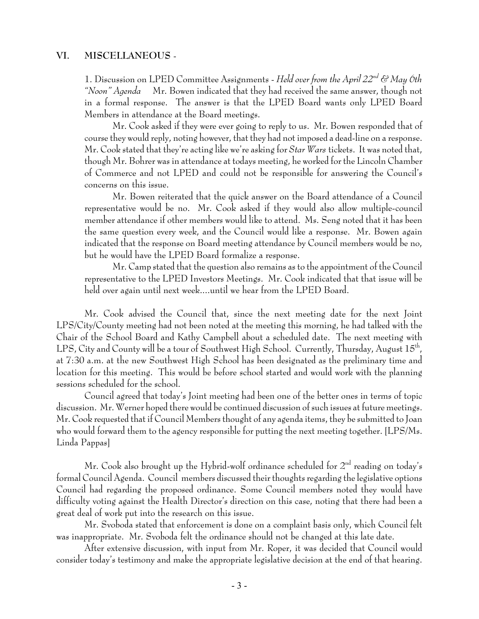#### **VI. MISCELLANEOUS** -

1. Discussion on LPED Committee Assignments - *Held over from the April 22nd & May 6th "Noon" Agenda* Mr. Bowen indicated that they had received the same answer, though not in a formal response. The answer is that the LPED Board wants only LPED Board Members in attendance at the Board meetings.

Mr. Cook asked if they were ever going to reply to us. Mr. Bowen responded that of course they would reply, noting however, that they had not imposed a dead-line on a response. Mr. Cook stated that they're acting like we're asking for *Star Wars* tickets. It was noted that, though Mr. Bohrer was in attendance at todays meeting, he worked for the Lincoln Chamber of Commerce and not LPED and could not be responsible for answering the Council's concerns on this issue.

Mr. Bowen reiterated that the quick answer on the Board attendance of a Council representative would be no. Mr. Cook asked if they would also allow multiple-council member attendance if other members would like to attend. Ms. Seng noted that it has been the same question every week, and the Council would like a response. Mr. Bowen again indicated that the response on Board meeting attendance by Council members would be no, but he would have the LPED Board formalize a response.

Mr. Camp stated that the question also remains as to the appointment of the Council representative to the LPED Investors Meetings. Mr. Cook indicated that that issue will be held over again until next week....until we hear from the LPED Board.

Mr. Cook advised the Council that, since the next meeting date for the next Joint LPS/City/County meeting had not been noted at the meeting this morning, he had talked with the Chair of the School Board and Kathy Campbell about a scheduled date. The next meeting with LPS, City and County will be a tour of Southwest High School. Currently, Thursday, August 15<sup>th</sup>, at 7:30 a.m. at the new Southwest High School has been designated as the preliminary time and location for this meeting. This would be before school started and would work with the planning sessions scheduled for the school.

Council agreed that today's Joint meeting had been one of the better ones in terms of topic discussion. Mr. Werner hoped there would be continued discussion of such issues at future meetings. Mr. Cook requested that if Council Members thought of any agenda items, they be submitted to Joan who would forward them to the agency responsible for putting the next meeting together. [LPS/Ms. Linda Pappas]

Mr. Cook also brought up the Hybrid-wolf ordinance scheduled for  $2<sup>nd</sup>$  reading on today's formal Council Agenda. Council members discussed their thoughts regarding the legislative options Council had regarding the proposed ordinance. Some Council members noted they would have difficulty voting against the Health Director's direction on this case, noting that there had been a great deal of work put into the research on this issue.

Mr. Svoboda stated that enforcement is done on a complaint basis only, which Council felt was inappropriate. Mr. Svoboda felt the ordinance should not be changed at this late date.

After extensive discussion, with input from Mr. Roper, it was decided that Council would consider today's testimony and make the appropriate legislative decision at the end of that hearing.